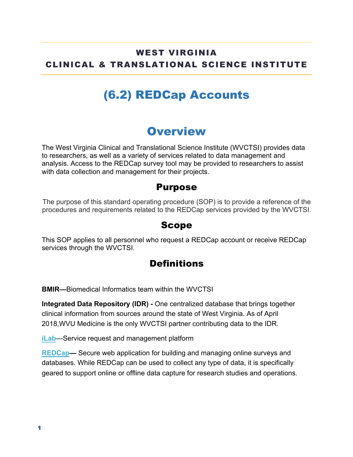### WEST VIRGINIA CLINICAL & TRANSLATIONAL SCIENCE INSTITUTE

# (6.2) REDCap Accounts

### **Overview**

The West Virginia Clinical and Translational Science Institute (WVCTSI) provides data to researchers, as well as a variety of services related to data management and analysis. Access to the REDCap survey tool may be provided to researchers to assist with data collection and management for their projects.

#### Purpose

The purpose of this standard operating procedure (SOP) is to provide a reference of the procedures and requirements related to the REDCap services provided by the WVCTSI.

#### Scope

This SOP applies to all personnel who request a REDCap account or receive REDCap services through the WVCTSI.

### **Definitions**

**BMIR—**Biomedical Informatics team within the WVCTSI

**Integrated Data Repository (IDR) -** One centralized database that brings together clinical information from sources around the state of West Virginia. As of April 2018,WVU Medicine is the only WVCTSI partner contributing data to the IDR.

**iLab**—Service request and management platform

**REDCap—** Secure web application for building and managing online surveys and databases. While REDCap can be used to collect any type of data, it is specifically geared to support online or offline data capture for research studies and operations.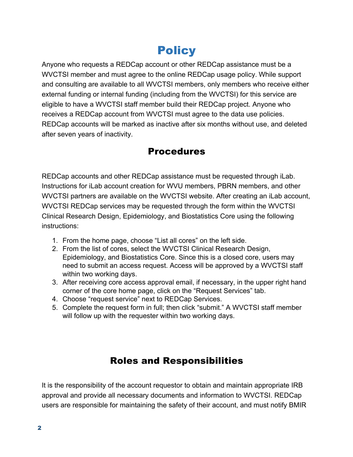# **Policy**

Anyone who requests a REDCap account or other REDCap assistance must be a WVCTSI member and must agree to the online REDCap usage policy. While support and consulting are available to all WVCTSI members, only members who receive either external funding or internal funding (including from the WVCTSI) for this service are eligible to have a WVCTSI staff member build their REDCap project. Anyone who receives a REDCap account from WVCTSI must agree to the data use policies. REDCap accounts will be marked as inactive after six months without use, and deleted after seven years of inactivity.

### Procedures

REDCap accounts and other REDCap assistance must be requested through iLab. Instructions for iLab account creation for WVU members, PBRN members, and other WVCTSI partners are available on the WVCTSI website. After creating an iLab account, WVCTSI REDCap services may be requested through the form within the WVCTSI Clinical Research Design, Epidemiology, and Biostatistics Core using the following instructions:

- 1. From the home page, choose "List all cores" on the left side.
- 2. From the list of cores, select the WVCTSI Clinical Research Design, Epidemiology, and Biostatistics Core. Since this is a closed core, users may need to submit an access request. Access will be approved by a WVCTSI staff within two working days.
- 3. After receiving core access approval email, if necessary, in the upper right hand corner of the core home page, click on the "Request Services" tab.
- 4. Choose "request service" next to REDCap Services.
- 5. Complete the request form in full; then click "submit." A WVCTSI staff member will follow up with the requester within two working days.

### Roles and Responsibilities

It is the responsibility of the account requestor to obtain and maintain appropriate IRB approval and provide all necessary documents and information to WVCTSI. REDCap users are responsible for maintaining the safety of their account, and must notify BMIR